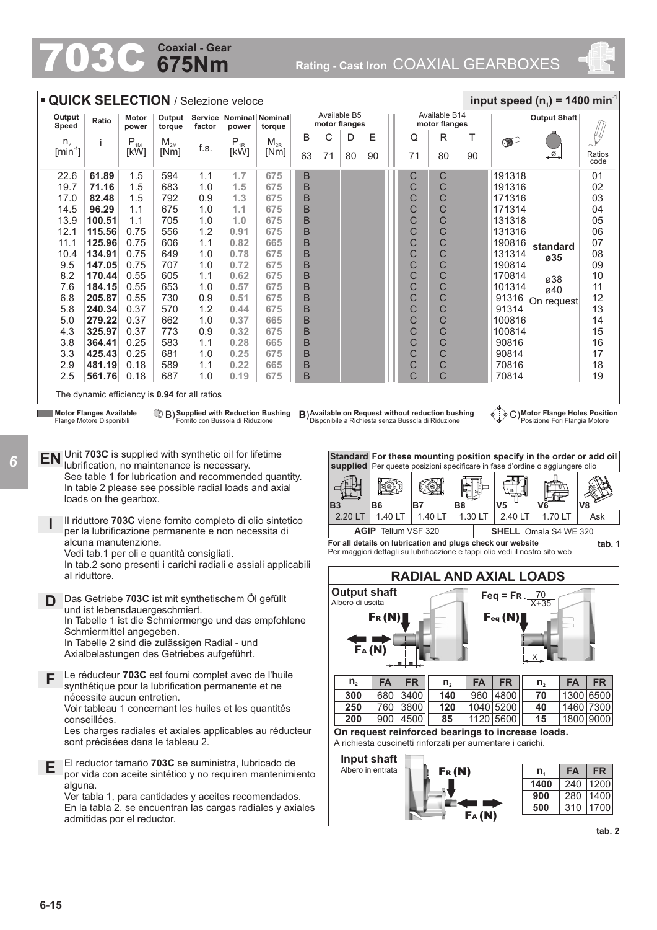# **675Nm Coaxial - Gear**

**Coaxial - Gear**<br> **675NM** Rating - Cast Iron COAXIAL GEARBOXES



|                                       | <b>QUICK SELECTION / Selezione veloce</b>                                                                                         |                            |                    |            |                                  |                                                                |        |           |                               |                          |                                                    |                                |                |                                                            | input speed (n <sub>1</sub> ) = 1400 min <sup>-1</sup>                                                                                                                              |                |
|---------------------------------------|-----------------------------------------------------------------------------------------------------------------------------------|----------------------------|--------------------|------------|----------------------------------|----------------------------------------------------------------|--------|-----------|-------------------------------|--------------------------|----------------------------------------------------|--------------------------------|----------------|------------------------------------------------------------|-------------------------------------------------------------------------------------------------------------------------------------------------------------------------------------|----------------|
| Output<br>Speed                       | Ratio                                                                                                                             | Motor<br>power             | Output  <br>torque | factor     | power                            | Service   Nominal   Nominal  <br>torque                        |        |           | Available B5<br>motor flanges |                          |                                                    | Available B14<br>motor flanges |                |                                                            | <b>Output Shaft</b>                                                                                                                                                                 |                |
| n <sub>2</sub>                        | j                                                                                                                                 | $\mathsf{P}_{\textsc{1M}}$ | $M_{2M}$           |            | $P_{1R}$                         | $M_{2R}$                                                       | B      | С         | D                             | Е                        | Q                                                  | R                              | Т              | $\bullet$                                                  |                                                                                                                                                                                     |                |
| $\left[\text{min}^{\text{-}1}\right]$ |                                                                                                                                   | [kW]                       | [Nm]               | f.s.       | [kW]                             | [Nm]                                                           | 63     | 71        | 80                            | 90                       | 71                                                 | 80                             | 90             |                                                            | Ø.                                                                                                                                                                                  | Ratios<br>code |
| 22.6                                  | 61.89                                                                                                                             | 1.5                        | 594                | 1.1        | 1.7                              | 675                                                            | B      |           |                               |                          | С                                                  | C                              |                | 191318                                                     |                                                                                                                                                                                     | 01             |
| 19.7                                  | 71.16                                                                                                                             | 1.5                        | 683                | 1.0        | 1.5                              | 675                                                            | B      |           |                               |                          | C                                                  | C                              |                | 191316                                                     |                                                                                                                                                                                     | 02             |
| 17.0                                  | 82.48                                                                                                                             | 1.5                        | 792                | 0.9        | 1.3                              | 675                                                            | B      |           |                               |                          | C                                                  | C                              |                | 171316                                                     |                                                                                                                                                                                     | 03             |
| 14.5                                  | 96.29                                                                                                                             | 1.1                        | 675                | 1.0        | 1.1                              | 675                                                            | B      |           |                               |                          | C                                                  | C                              |                | 171314                                                     |                                                                                                                                                                                     | 04             |
| 13.9                                  | 100.51                                                                                                                            | 1.1                        | 705                | 1.0        | 1.0                              | 675                                                            | B      |           |                               |                          | C                                                  | C                              |                | 131318                                                     |                                                                                                                                                                                     | 05             |
| 12.1                                  | 115.56                                                                                                                            | 0.75                       | 556                | 1.2        | 0.91                             | 675                                                            | B      |           |                               |                          | C                                                  | C                              |                | 131316                                                     |                                                                                                                                                                                     | 06             |
| 11.1                                  | 125.96                                                                                                                            | 0.75                       | 606                | 1.1        | 0.82                             | 665                                                            | B      |           |                               |                          | C                                                  | C                              |                | 190816                                                     | standard                                                                                                                                                                            | 07             |
| 10.4                                  | 134.91                                                                                                                            | 0.75                       | 649                | 1.0        | 0.78                             | 675                                                            | B      |           |                               |                          | C<br>C                                             | C                              |                | 131314                                                     | ø35                                                                                                                                                                                 | 08             |
| 9.5<br>8.2                            | 147.05                                                                                                                            | 0.75<br>0.55               | 707<br>605         | 1.0<br>1.1 | 0.72<br>0.62                     | 675<br>675                                                     | B      |           |                               |                          | C                                                  | $\mathsf{C}$<br>C              |                | 190814<br>170814                                           |                                                                                                                                                                                     | 09<br>10       |
| 7.6                                   | 170.44<br>184.15                                                                                                                  | 0.55                       | 653                | 1.0        | 0.57                             | 675                                                            | B<br>B |           |                               |                          | C                                                  | C                              |                | 101314                                                     | ø38                                                                                                                                                                                 | 11             |
| 6.8                                   | 205.87                                                                                                                            | 0.55                       | 730                | 0.9        | 0.51                             | 675                                                            | B      |           |                               |                          | C                                                  | C                              |                | 91316                                                      | ø40                                                                                                                                                                                 | 12             |
| 5.8                                   | 240.34                                                                                                                            | 0.37                       | 570                | 1.2        | 0.44                             | 675                                                            | B      |           |                               |                          | C                                                  | C                              |                | 91314                                                      | On request                                                                                                                                                                          | 13             |
| 5.0                                   | 279.22                                                                                                                            | 0.37                       | 662                | 1.0        | 0.37                             | 665                                                            | B      |           |                               |                          | C                                                  | C                              |                | 100816                                                     |                                                                                                                                                                                     | 14             |
| 4.3                                   | 325.97                                                                                                                            | 0.37                       | 773                | 0.9        | 0.32                             | 675                                                            | B      |           |                               |                          | C                                                  | C                              |                | 100814                                                     |                                                                                                                                                                                     | 15             |
| 3.8                                   | 364.41                                                                                                                            | 0.25                       | 583                | 1.1        | 0.28                             | 665                                                            | B      |           |                               |                          | Ċ                                                  | C                              |                | 90816                                                      |                                                                                                                                                                                     | 16             |
| 3.3                                   | 425.43                                                                                                                            | 0.25                       | 681                | 1.0        | 0.25                             | 675                                                            | B      |           |                               |                          | C                                                  | C                              |                | 90814                                                      |                                                                                                                                                                                     | 17             |
| 2.9                                   | 481.19                                                                                                                            | 0.18                       | 589                | 1.1        | 0.22                             | 665                                                            | B      |           |                               |                          | C                                                  | C                              |                | 70816                                                      |                                                                                                                                                                                     | 18             |
| 2.5                                   | 561.76                                                                                                                            | 0.18                       | 687                | 1.0        | 0.19                             | 675                                                            | B      |           |                               |                          | $\mathsf{C}$                                       | C                              |                | 70814                                                      |                                                                                                                                                                                     | 19             |
|                                       | The dynamic efficiency is 0.94 for all ratios<br><b>Motor Flanges Available</b>                                                   |                            |                    |            | Fornito con Bussola di Riduzione | B) Supplied with Reduction Bushing                             |        |           |                               |                          | B) Available on Request without reduction bushing  |                                |                |                                                            | C) Motor Flange Holes Position                                                                                                                                                      |                |
| EN                                    | Flange Motore Disponibili<br>Unit 703C is supplied with synthetic oil for lifetime<br>lubrification, no maintenance is necessary. |                            |                    |            |                                  | See table 1 for lubrication and recommended quantity.          |        |           | <b>Standard</b>               |                          | Disponibile a Richiesta senza Bussola di Riduzione |                                |                |                                                            | Posizione Fori Flangia Motore<br>For these mounting position specify in the order or add oil<br><b>supplied</b> Per queste posizioni specificare in fase d'ordine o aggiungere olio |                |
|                                       | In table 2 please see possible radial loads and axial<br>loads on the gearbox.                                                    |                            |                    |            |                                  |                                                                |        | <b>B3</b> |                               | I(0)<br>B6               | <b>B7</b>                                          |                                | B <sub>8</sub> | V <sub>5</sub>                                             | V6                                                                                                                                                                                  | V8             |
|                                       |                                                                                                                                   |                            |                    |            |                                  | Il riduttore 703C viene fornito completo di olio sintetico     |        |           | 2.20 LT                       | 1.40 LT                  |                                                    | 1.40 LT                        | 1.30 LT        | 2.40 LT                                                    | 1.70 LT                                                                                                                                                                             | Ask            |
|                                       | per la lubrificazione permanente e non necessita di                                                                               |                            |                    |            |                                  |                                                                |        |           |                               |                          | <b>AGIP</b> Telium VSF 320                         |                                |                |                                                            | <b>SHELL</b> Omala S4 WE 320                                                                                                                                                        |                |
|                                       | alcuna manutenzione.<br>Vedi tab.1 per oli e quantità consigliati.                                                                |                            |                    |            |                                  | In tab.2 sono presenti i carichi radiali e assiali applicabili |        |           |                               |                          |                                                    |                                |                | For all details on lubrication and plugs check our website | Per maggiori dettagli su lubrificazione e tappi olio vedi il nostro sito web                                                                                                        | tab. 1         |
|                                       | al riduttore.                                                                                                                     |                            |                    |            |                                  |                                                                |        |           |                               |                          |                                                    |                                |                | <b>RADIAL AND AXIAL LOADS</b>                              |                                                                                                                                                                                     |                |
| D                                     | Das Getriebe 703C ist mit synthetischem Öl gefüllt<br>und ist lebensdauergeschmiert.                                              |                            |                    |            |                                  |                                                                |        |           | Albero di uscita              | Output shaft<br>$F_R(N)$ |                                                    |                                |                | Feq = FR. $\frac{70}{X+35}$<br>Feq(N)                      |                                                                                                                                                                                     |                |

FA (N)

**300** 680

**= =**

3400 **FA FR**

In Tabelle 1 ist die Schmiermenge und das empfohlene Schmiermittel angegeben. In Tabelle 2 sind die zulässigen Radial - und

Axialbelastungen des Getriebes aufgeführt.

**F** Le réducteur **703C** est fourni complet avec de l'huile synthétique pour la lubrification permanente et ne nécessite aucun entretien. Voir tableau 1 concernant les huiles et les quantités

conseillées.

Les charges radiales et axiales applicables au réducteur sont précisées dans le tableau 2.

**E** El reductor tamaño **703C** se suministra, lubricado de por vida con aceite sintético y no requiren mantenimiento alguna.

Ver tabla 1, para cantidades y aceites recomendados. En la tabla 2, se encuentran las cargas radiales y axiales admitidas por el reductor.



**140** 960 4800

 $n_2$  **FA FR n**<sub>2</sub> **FA FR n**<sub>2</sub> **FA FR** 



**70** 1300 6500

X

**tab. 2**

*6*